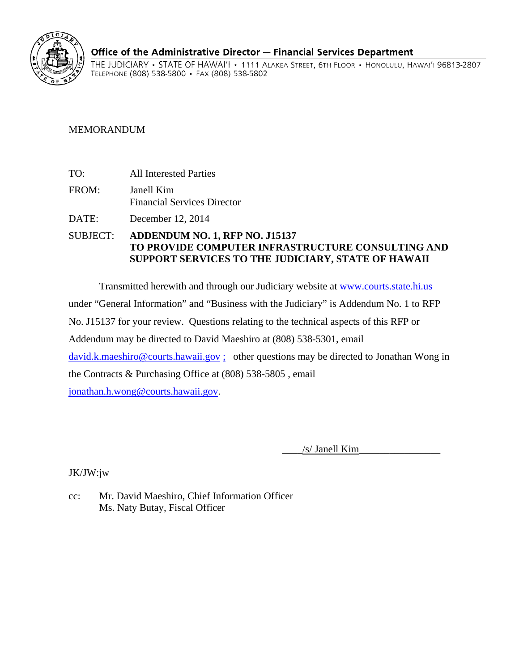

# Office of the Administrative Director - Financial Services Department

THE JUDICIARY • STATE OF HAWAI'I • 1111 ALAKEA STREET, 6TH FLOOR • HONOLULU, HAWAI'I 96813-2807 TELEPHONE (808) 538-5800 · FAX (808) 538-5802

# MEMORANDUM

- TO: All Interested Parties
- FROM: Janell Kim Financial Services Director

DATE: December 12, 2014

# **SUPPORT SERVICES TO THE JUDICIARY, STATE OF HAWAII** SUBJECT: **ADDENDUM NO. 1, RFP NO. J15137 TO PROVIDE COMPUTER INFRASTRUCTURE CONSULTING AND**

Transmitted herewith and through our Judiciary website at www.courts.state.hi.us under "General Information" and "Business with the Judiciary" is Addendum No. 1 to RFP No. J15137 for your review. Questions relating to the technical aspects of this RFP or Addendum may be directed to David Maeshiro at (808) 538-5301, email david.k.maeshiro@courts.hawaii.gov ; other questions may be directed to Jonathan Wong in the Contracts & Purchasing Office at (808) 538-5805 , email jonathan.h.wong@courts.hawaii.gov.

 $/s/$  Janell Kim

JK/JW:jw

cc: Mr. David Maeshiro, Chief Information Officer Ms. Naty Butay, Fiscal Officer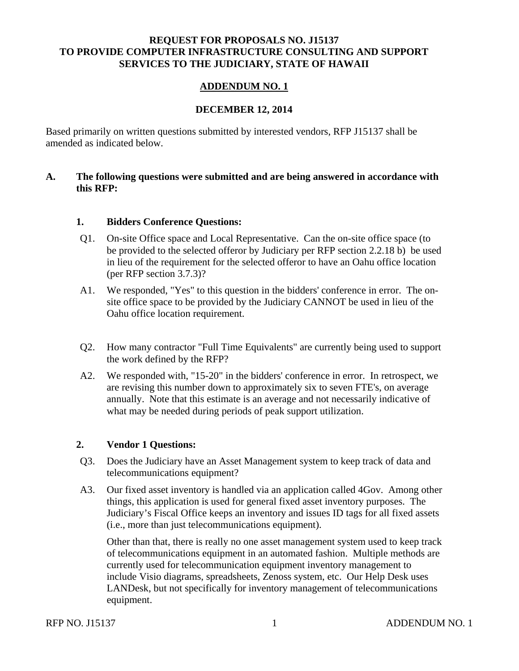## **REQUEST FOR PROPOSALS NO. J15137 TO PROVIDE COMPUTER INFRASTRUCTURE CONSULTING AND SUPPORT SERVICES TO THE JUDICIARY, STATE OF HAWAII**

## **ADDENDUM NO. 1**

## **DECEMBER 12, 2014**

Based primarily on written questions submitted by interested vendors, RFP J15137 shall be amended as indicated below.

## **A. The following questions were submitted and are being answered in accordance with this RFP:**

#### **1. Bidders Conference Questions:**

- Q1. On-site Office space and Local Representative. Can the on-site office space (to be provided to the selected offeror by Judiciary per RFP section 2.2.18 b) be used in lieu of the requirement for the selected offeror to have an Oahu office location (per RFP section 3.7.3)?
- A1. We responded, "Yes" to this question in the bidders' conference in error. The onsite office space to be provided by the Judiciary CANNOT be used in lieu of the Oahu office location requirement.
- Q2. How many contractor "Full Time Equivalents" are currently being used to support the work defined by the RFP?
- A2. We responded with, "15-20" in the bidders' conference in error. In retrospect, we are revising this number down to approximately six to seven FTE's, on average annually. Note that this estimate is an average and not necessarily indicative of what may be needed during periods of peak support utilization.

#### **2. Vendor 1 Questions:**

- Q3. Does the Judiciary have an Asset Management system to keep track of data and telecommunications equipment?
- A3. Our fixed asset inventory is handled via an application called 4Gov. Among other things, this application is used for general fixed asset inventory purposes. The Judiciary's Fiscal Office keeps an inventory and issues ID tags for all fixed assets (i.e., more than just telecommunications equipment).

Other than that, there is really no one asset management system used to keep track of telecommunications equipment in an automated fashion. Multiple methods are currently used for telecommunication equipment inventory management to include Visio diagrams, spreadsheets, Zenoss system, etc. Our Help Desk uses LANDesk, but not specifically for inventory management of telecommunications equipment.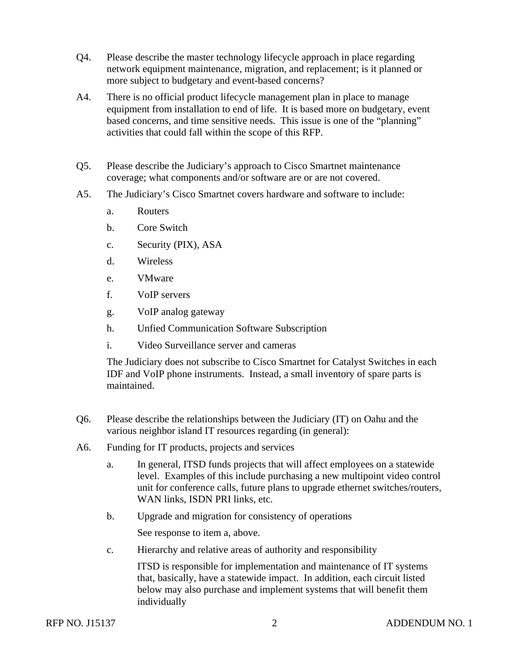- Q4. Please describe the master technology lifecycle approach in place regarding network equipment maintenance, migration, and replacement; is it planned or more subject to budgetary and event-based concerns?
- A4. There is no official product lifecycle management plan in place to manage equipment from installation to end of life. It is based more on budgetary, event based concerns, and time sensitive needs. This issue is one of the "planning" activities that could fall within the scope of this RFP.
- Q5. Please describe the Judiciary's approach to Cisco Smartnet maintenance coverage; what components and/or software are or are not covered.
- A5. The Judiciary's Cisco Smartnet covers hardware and software to include:
	- a. Routers
	- b. Core Switch
	- c. Security (PIX), ASA
	- d. Wireless
	- e. VMware
	- f. VoIP servers
	- g. VoIP analog gateway
	- h. Unfied Communication Software Subscription
	- i. Video Surveillance server and cameras

The Judiciary does not subscribe to Cisco Smartnet for Catalyst Switches in each IDF and VoIP phone instruments. Instead, a small inventory of spare parts is maintained.

- Q6. Please describe the relationships between the Judiciary (IT) on Oahu and the various neighbor island IT resources regarding (in general):
- A6. Funding for IT products, projects and services
	- a. In general, ITSD funds projects that will affect employees on a statewide level. Examples of this include purchasing a new multipoint video control unit for conference calls, future plans to upgrade ethernet switches/routers, WAN links, ISDN PRI links, etc.
	- b. Upgrade and migration for consistency of operations

See response to item a, above.

c. Hierarchy and relative areas of authority and responsibility

ITSD is responsible for implementation and maintenance of IT systems that, basically, have a statewide impact. In addition, each circuit listed below may also purchase and implement systems that will benefit them individually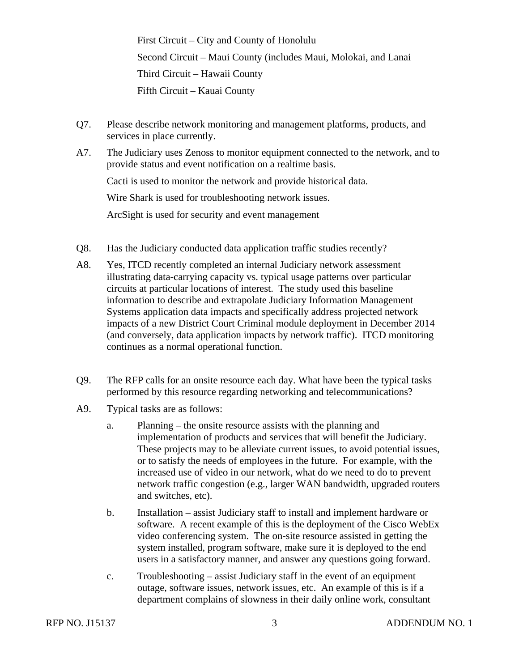First Circuit – City and County of Honolulu Second Circuit – Maui County (includes Maui, Molokai, and Lanai Third Circuit – Hawaii County Fifth Circuit – Kauai County

- Q7. Please describe network monitoring and management platforms, products, and services in place currently.
- A7. The Judiciary uses Zenoss to monitor equipment connected to the network, and to provide status and event notification on a realtime basis. Cacti is used to monitor the network and provide historical data. Wire Shark is used for troubleshooting network issues. ArcSight is used for security and event management
- Q8. Has the Judiciary conducted data application traffic studies recently?
- A8. Yes, ITCD recently completed an internal Judiciary network assessment illustrating data-carrying capacity vs. typical usage patterns over particular circuits at particular locations of interest. The study used this baseline information to describe and extrapolate Judiciary Information Management Systems application data impacts and specifically address projected network impacts of a new District Court Criminal module deployment in December 2014 (and conversely, data application impacts by network traffic). ITCD monitoring continues as a normal operational function.
- Q9. The RFP calls for an onsite resource each day. What have been the typical tasks performed by this resource regarding networking and telecommunications?
- A9. Typical tasks are as follows:
	- a. Planning the onsite resource assists with the planning and implementation of products and services that will benefit the Judiciary. These projects may to be alleviate current issues, to avoid potential issues, or to satisfy the needs of employees in the future. For example, with the increased use of video in our network, what do we need to do to prevent network traffic congestion (e.g., larger WAN bandwidth, upgraded routers and switches, etc).
	- b. Installation assist Judiciary staff to install and implement hardware or software. A recent example of this is the deployment of the Cisco WebEx video conferencing system. The on-site resource assisted in getting the system installed, program software, make sure it is deployed to the end users in a satisfactory manner, and answer any questions going forward.
	- c. Troubleshooting assist Judiciary staff in the event of an equipment outage, software issues, network issues, etc. An example of this is if a department complains of slowness in their daily online work, consultant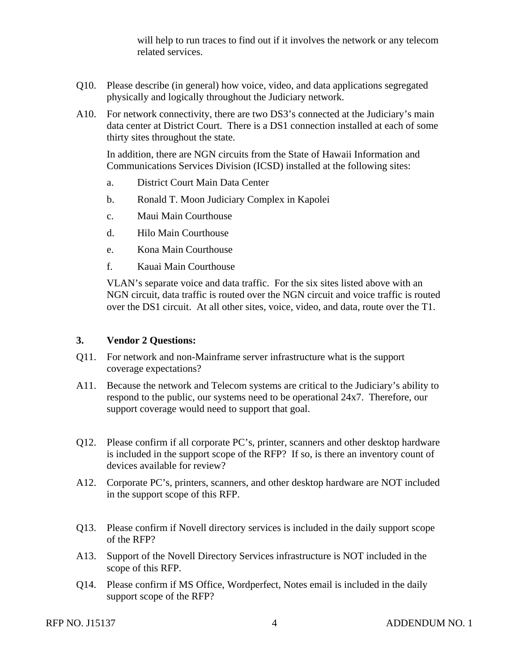will help to run traces to find out if it involves the network or any telecom related services.

- Q10. Please describe (in general) how voice, video, and data applications segregated physically and logically throughout the Judiciary network.
- A10. For network connectivity, there are two DS3's connected at the Judiciary's main data center at District Court. There is a DS1 connection installed at each of some thirty sites throughout the state.

In addition, there are NGN circuits from the State of Hawaii Information and Communications Services Division (ICSD) installed at the following sites:

- a. District Court Main Data Center
- b. Ronald T. Moon Judiciary Complex in Kapolei
- c. Maui Main Courthouse
- d. Hilo Main Courthouse
- e. Kona Main Courthouse
- f. Kauai Main Courthouse

VLAN's separate voice and data traffic. For the six sites listed above with an NGN circuit, data traffic is routed over the NGN circuit and voice traffic is routed over the DS1 circuit. At all other sites, voice, video, and data, route over the T1.

#### **3. Vendor 2 Questions:**

- Q11. For network and non-Mainframe server infrastructure what is the support coverage expectations?
- A11. Because the network and Telecom systems are critical to the Judiciary's ability to respond to the public, our systems need to be operational 24x7. Therefore, our support coverage would need to support that goal.
- Q12. Please confirm if all corporate PC's, printer, scanners and other desktop hardware is included in the support scope of the RFP? If so, is there an inventory count of devices available for review?
- A12. Corporate PC's, printers, scanners, and other desktop hardware are NOT included in the support scope of this RFP.
- Q13. Please confirm if Novell directory services is included in the daily support scope of the RFP?
- A13. Support of the Novell Directory Services infrastructure is NOT included in the scope of this RFP.
- Q14. Please confirm if MS Office, Wordperfect, Notes email is included in the daily support scope of the RFP?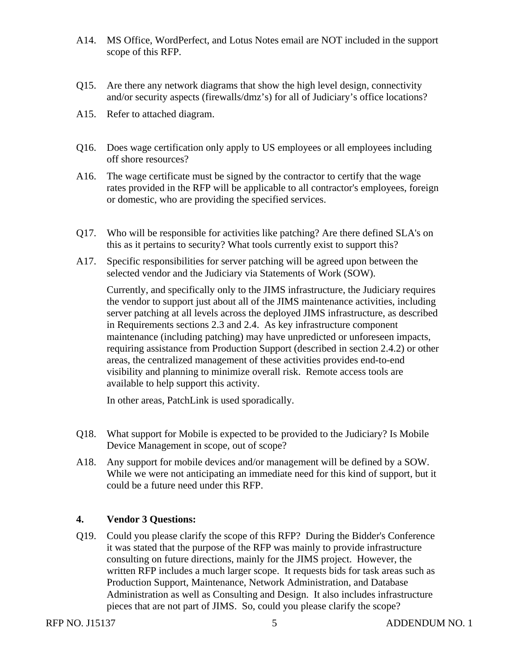- A14. MS Office, WordPerfect, and Lotus Notes email are NOT included in the support scope of this RFP.
- Q15. Are there any network diagrams that show the high level design, connectivity and/or security aspects (firewalls/dmz's) for all of Judiciary's office locations?
- A15. Refer to attached diagram.
- Q16. Does wage certification only apply to US employees or all employees including off shore resources?
- A16. The wage certificate must be signed by the contractor to certify that the wage rates provided in the RFP will be applicable to all contractor's employees, foreign or domestic, who are providing the specified services.
- Q17. Who will be responsible for activities like patching? Are there defined SLA's on this as it pertains to security? What tools currently exist to support this?
- A17. Specific responsibilities for server patching will be agreed upon between the selected vendor and the Judiciary via Statements of Work (SOW).

Currently, and specifically only to the JIMS infrastructure, the Judiciary requires the vendor to support just about all of the JIMS maintenance activities, including server patching at all levels across the deployed JIMS infrastructure, as described in Requirements sections 2.3 and 2.4. As key infrastructure component maintenance (including patching) may have unpredicted or unforeseen impacts, requiring assistance from Production Support (described in section 2.4.2) or other areas, the centralized management of these activities provides end-to-end visibility and planning to minimize overall risk. Remote access tools are available to help support this activity.

In other areas, PatchLink is used sporadically.

- Q18. What support for Mobile is expected to be provided to the Judiciary? Is Mobile Device Management in scope, out of scope?
- Any support for mobile devices and/or management will be defined by a SOW. A18. Any support for mobile devices and/or management will be defined by a SOW. While we were not anticipating an immediate need for this kind of support, but it could be a future need under this RFP.

## **4. Vendor 3 Questions:**

Q19. Could you please clarify the scope of this RFP? During the Bidder's Conference it was stated that the purpose of the RFP was mainly to provide infrastructure consulting on future directions, mainly for the JIMS project. However, the written RFP includes a much larger scope. It requests bids for task areas such as Production Support, Maintenance, Network Administration, and Database Administration as well as Consulting and Design. It also includes infrastructure pieces that are not part of JIMS. So, could you please clarify the scope?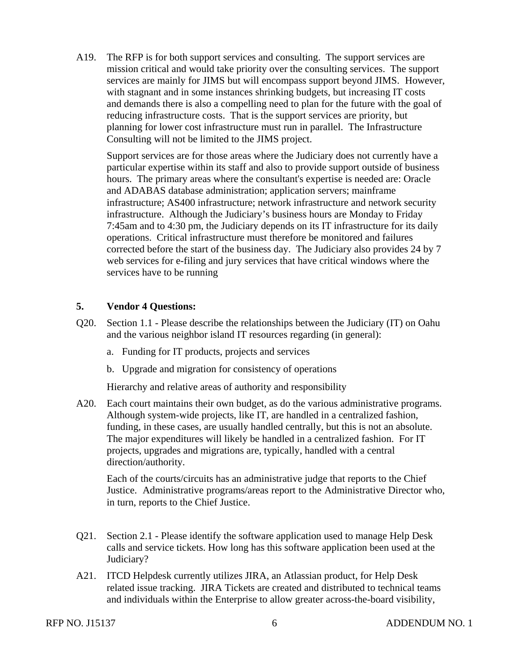planning for lower cost infrastructure must run in parallel. The Infrastructure A19. The RFP is for both support services and consulting. The support services are mission critical and would take priority over the consulting services. The support services are mainly for JIMS but will encompass support beyond JIMS. However, with stagnant and in some instances shrinking budgets, but increasing IT costs and demands there is also a compelling need to plan for the future with the goal of reducing infrastructure costs. That is the support services are priority, but Consulting will not be limited to the JIMS project.

Support services are for those areas where the Judiciary does not currently have a particular expertise within its staff and also to provide support outside of business hours. The primary areas where the consultant's expertise is needed are: Oracle and ADABAS database administration; application servers; mainframe infrastructure; AS400 infrastructure; network infrastructure and network security infrastructure. Although the Judiciary's business hours are Monday to Friday 7:45am and to 4:30 pm, the Judiciary depends on its IT infrastructure for its daily operations. Critical infrastructure must therefore be monitored and failures corrected before the start of the business day. The Judiciary also provides 24 by 7 web services for e-filing and jury services that have critical windows where the services have to be running

## **5. Vendor 4 Questions:**

- Q20. Section 1.1 Please describe the relationships between the Judiciary (IT) on Oahu and the various neighbor island IT resources regarding (in general):
	- a. Funding for IT products, projects and services
	- b. Upgrade and migration for consistency of operations

Hierarchy and relative areas of authority and responsibility

A20. Each court maintains their own budget, as do the various administrative programs. Although system-wide projects, like IT, are handled in a centralized fashion, funding, in these cases, are usually handled centrally, but this is not an absolute. The major expenditures will likely be handled in a centralized fashion. For IT projects, upgrades and migrations are, typically, handled with a central direction/authority.

Each of the courts/circuits has an administrative judge that reports to the Chief Justice. Administrative programs/areas report to the Administrative Director who, in turn, reports to the Chief Justice.

- Q21. Section 2.1 Please identify the software application used to manage Help Desk calls and service tickets. How long has this software application been used at the Judiciary?
- A21. ITCD Helpdesk currently utilizes JIRA, an Atlassian product, for Help Desk related issue tracking. JIRA Tickets are created and distributed to technical teams and individuals within the Enterprise to allow greater across-the-board visibility,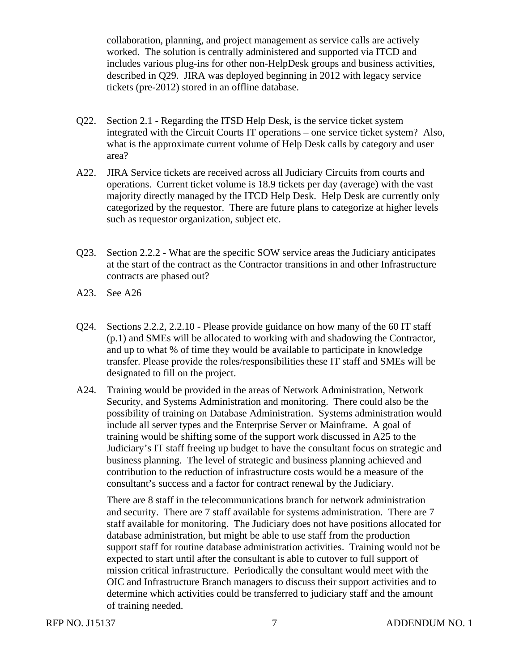collaboration, planning, and project management as service calls are actively worked. The solution is centrally administered and supported via ITCD and includes various plug-ins for other non-HelpDesk groups and business activities, described in Q29. JIRA was deployed beginning in 2012 with legacy service tickets (pre-2012) stored in an offline database.

- Q22. Section 2.1 Regarding the ITSD Help Desk, is the service ticket system integrated with the Circuit Courts IT operations – one service ticket system? Also, what is the approximate current volume of Help Desk calls by category and user area?
- A22. JIRA Service tickets are received across all Judiciary Circuits from courts and operations. Current ticket volume is 18.9 tickets per day (average) with the vast majority directly managed by the ITCD Help Desk. Help Desk are currently only categorized by the requestor. There are future plans to categorize at higher levels such as requestor organization, subject etc.
- Q23. Section 2.2.2 What are the specific SOW service areas the Judiciary anticipates at the start of the contract as the Contractor transitions in and other Infrastructure contracts are phased out?
- A23. See A26
- Q24. Sections 2.2.2, 2.2.10 Please provide guidance on how many of the 60 IT staff (p.1) and SMEs will be allocated to working with and shadowing the Contractor, and up to what % of time they would be available to participate in knowledge transfer. Please provide the roles/responsibilities these IT staff and SMEs will be designated to fill on the project.
- A24. Training would be provided in the areas of Network Administration, Network Security, and Systems Administration and monitoring. There could also be the possibility of training on Database Administration. Systems administration would include all server types and the Enterprise Server or Mainframe. A goal of training would be shifting some of the support work discussed in A25 to the Judiciary's IT staff freeing up budget to have the consultant focus on strategic and business planning. The level of strategic and business planning achieved and contribution to the reduction of infrastructure costs would be a measure of the consultant's success and a factor for contract renewal by the Judiciary.

There are 8 staff in the telecommunications branch for network administration and security. There are 7 staff available for systems administration. There are 7 staff available for monitoring. The Judiciary does not have positions allocated for database administration, but might be able to use staff from the production support staff for routine database administration activities. Training would not be expected to start until after the consultant is able to cutover to full support of mission critical infrastructure. Periodically the consultant would meet with the OIC and Infrastructure Branch managers to discuss their support activities and to determine which activities could be transferred to judiciary staff and the amount of training needed.

RFP NO. J15137 2002 12:00 7 2003 12:00 2004 12:00 2005 12:00 2006 12:00 2006 12:00 2007 2008 12:00 2007 2008 1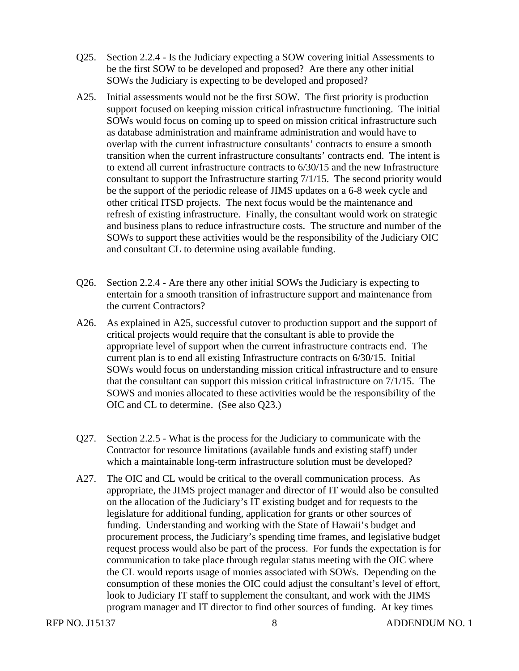- Q25. Section 2.2.4 Is the Judiciary expecting a SOW covering initial Assessments to be the first SOW to be developed and proposed? Are there any other initial SOWs the Judiciary is expecting to be developed and proposed?
- A25. Initial assessments would not be the first SOW. The first priority is production support focused on keeping mission critical infrastructure functioning. The initial SOWs would focus on coming up to speed on mission critical infrastructure such as database administration and mainframe administration and would have to overlap with the current infrastructure consultants' contracts to ensure a smooth transition when the current infrastructure consultants' contracts end. The intent is to extend all current infrastructure contracts to 6/30/15 and the new Infrastructure consultant to support the Infrastructure starting 7/1/15. The second priority would be the support of the periodic release of JIMS updates on a 6-8 week cycle and other critical ITSD projects. The next focus would be the maintenance and refresh of existing infrastructure. Finally, the consultant would work on strategic and business plans to reduce infrastructure costs. The structure and number of the SOWs to support these activities would be the responsibility of the Judiciary OIC and consultant CL to determine using available funding.
- Q26. Section 2.2.4 Are there any other initial SOWs the Judiciary is expecting to entertain for a smooth transition of infrastructure support and maintenance from the current Contractors?
- A26. As explained in A25, successful cutover to production support and the support of critical projects would require that the consultant is able to provide the appropriate level of support when the current infrastructure contracts end. The current plan is to end all existing Infrastructure contracts on 6/30/15. Initial SOWs would focus on understanding mission critical infrastructure and to ensure that the consultant can support this mission critical infrastructure on 7/1/15. The SOWS and monies allocated to these activities would be the responsibility of the OIC and CL to determine. (See also Q23.)
- Q27. Section 2.2.5 What is the process for the Judiciary to communicate with the Contractor for resource limitations (available funds and existing staff) under which a maintainable long-term infrastructure solution must be developed?
- A27. The OIC and CL would be critical to the overall communication process. As appropriate, the JIMS project manager and director of IT would also be consulted on the allocation of the Judiciary's IT existing budget and for requests to the legislature for additional funding, application for grants or other sources of funding. Understanding and working with the State of Hawaii's budget and procurement process, the Judiciary's spending time frames, and legislative budget request process would also be part of the process. For funds the expectation is for communication to take place through regular status meeting with the OIC where the CL would reports usage of monies associated with SOWs. Depending on the consumption of these monies the OIC could adjust the consultant's level of effort, look to Judiciary IT staff to supplement the consultant, and work with the JIMS program manager and IT director to find other sources of funding. At key times

RFP NO. J15137 8 ADDENDUM NO. 1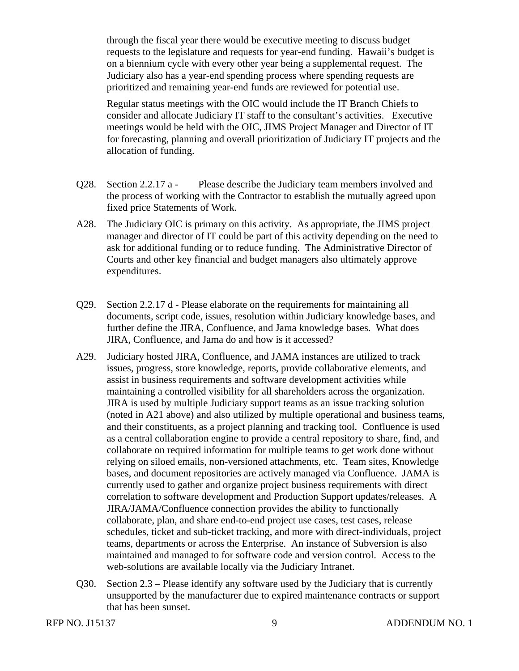through the fiscal year there would be executive meeting to discuss budget requests to the legislature and requests for year-end funding. Hawaii's budget is on a biennium cycle with every other year being a supplemental request. The Judiciary also has a year-end spending process where spending requests are prioritized and remaining year-end funds are reviewed for potential use.

Regular status meetings with the OIC would include the IT Branch Chiefs to consider and allocate Judiciary IT staff to the consultant's activities. Executive meetings would be held with the OIC, JIMS Project Manager and Director of IT for forecasting, planning and overall prioritization of Judiciary IT projects and the allocation of funding.

- Q28. Section 2.2.17 a Please describe the Judiciary team members involved and the process of working with the Contractor to establish the mutually agreed upon fixed price Statements of Work.
- A28. The Judiciary OIC is primary on this activity. As appropriate, the JIMS project manager and director of IT could be part of this activity depending on the need to ask for additional funding or to reduce funding. The Administrative Director of Courts and other key financial and budget managers also ultimately approve expenditures.
- JIRA, Confluence, and Jama do and how is it accessed? Q29. Section 2.2.17 d - Please elaborate on the requirements for maintaining all documents, script code, issues, resolution within Judiciary knowledge bases, and further define the JIRA, Confluence, and Jama knowledge bases. What does
- A29. Judiciary hosted JIRA, Confluence, and JAMA instances are utilized to track issues, progress, store knowledge, reports, provide collaborative elements, and assist in business requirements and software development activities while maintaining a controlled visibility for all shareholders across the organization. JIRA is used by multiple Judiciary support teams as an issue tracking solution (noted in A21 above) and also utilized by multiple operational and business teams, and their constituents, as a project planning and tracking tool. Confluence is used as a central collaboration engine to provide a central repository to share, find, and collaborate on required information for multiple teams to get work done without relying on siloed emails, non-versioned attachments, etc. Team sites, Knowledge bases, and document repositories are actively managed via Confluence. JAMA is currently used to gather and organize project business requirements with direct correlation to software development and Production Support updates/releases. A JIRA/JAMA/Confluence connection provides the ability to functionally collaborate, plan, and share end-to-end project use cases, test cases, release schedules, ticket and sub-ticket tracking, and more with direct-individuals, project teams, departments or across the Enterprise. An instance of Subversion is also maintained and managed to for software code and version control. Access to the web-solutions are available locally via the Judiciary Intranet.
- Q30. Section 2.3 Please identify any software used by the Judiciary that is currently unsupported by the manufacturer due to expired maintenance contracts or support that has been sunset.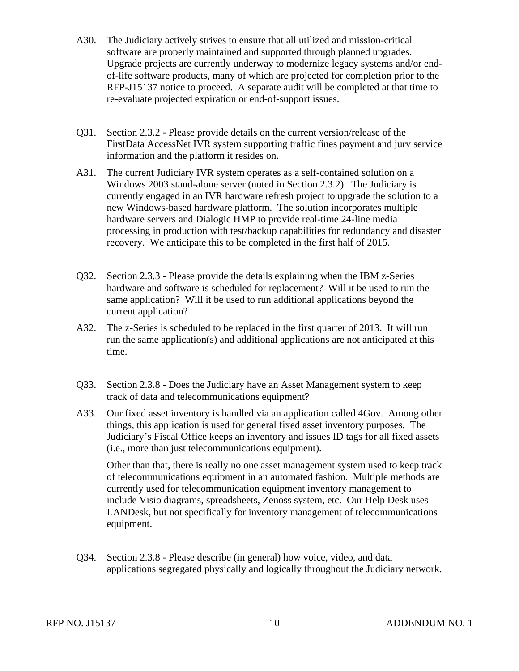- A30. The Judiciary actively strives to ensure that all utilized and mission-critical software are properly maintained and supported through planned upgrades. Upgrade projects are currently underway to modernize legacy systems and/or endof-life software products, many of which are projected for completion prior to the RFP-J15137 notice to proceed. A separate audit will be completed at that time to re-evaluate projected expiration or end-of-support issues.
- Q31. Section 2.3.2 Please provide details on the current version/release of the FirstData AccessNet IVR system supporting traffic fines payment and jury service information and the platform it resides on.
- A31. The current Judiciary IVR system operates as a self-contained solution on a Windows 2003 stand-alone server (noted in Section 2.3.2). The Judiciary is currently engaged in an IVR hardware refresh project to upgrade the solution to a new Windows-based hardware platform. The solution incorporates multiple hardware servers and Dialogic HMP to provide real-time 24-line media processing in production with test/backup capabilities for redundancy and disaster recovery. We anticipate this to be completed in the first half of 2015.
- Q32. Section 2.3.3 Please provide the details explaining when the IBM z-Series hardware and software is scheduled for replacement? Will it be used to run the same application? Will it be used to run additional applications beyond the current application?
- A32. The z-Series is scheduled to be replaced in the first quarter of 2013. It will run run the same application(s) and additional applications are not anticipated at this time.
- Q33. Section 2.3.8 Does the Judiciary have an Asset Management system to keep track of data and telecommunications equipment?
- A33. Our fixed asset inventory is handled via an application called 4Gov. Among other things, this application is used for general fixed asset inventory purposes. The Judiciary's Fiscal Office keeps an inventory and issues ID tags for all fixed assets (i.e., more than just telecommunications equipment).

Other than that, there is really no one asset management system used to keep track of telecommunications equipment in an automated fashion. Multiple methods are currently used for telecommunication equipment inventory management to include Visio diagrams, spreadsheets, Zenoss system, etc. Our Help Desk uses LANDesk, but not specifically for inventory management of telecommunications equipment.

Q34. Section 2.3.8 - Please describe (in general) how voice, video, and data applications segregated physically and logically throughout the Judiciary network.

RFP NO. J15137 10 10 ADDENDUM NO. 1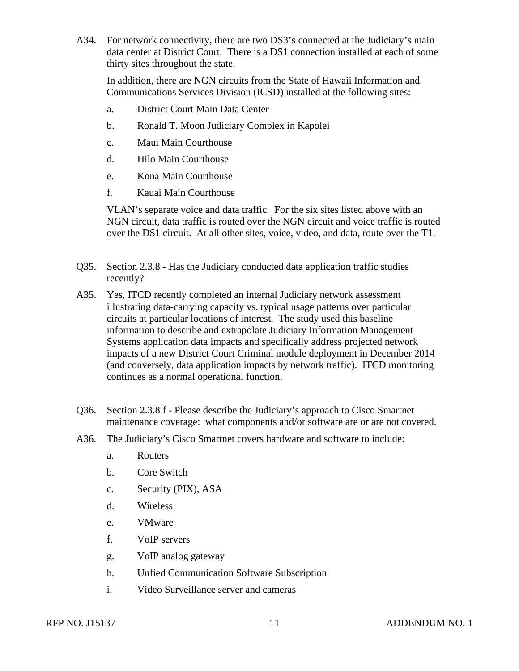A34. For network connectivity, there are two DS3's connected at the Judiciary's main data center at District Court. There is a DS1 connection installed at each of some thirty sites throughout the state.

In addition, there are NGN circuits from the State of Hawaii Information and Communications Services Division (ICSD) installed at the following sites:

- a. District Court Main Data Center
- b. Ronald T. Moon Judiciary Complex in Kapolei
- c. Maui Main Courthouse
- d. Hilo Main Courthouse
- e. Kona Main Courthouse
- f. Kauai Main Courthouse

VLAN's separate voice and data traffic. For the six sites listed above with an NGN circuit, data traffic is routed over the NGN circuit and voice traffic is routed over the DS1 circuit. At all other sites, voice, video, and data, route over the T1.

- Q35. Section 2.3.8 Has the Judiciary conducted data application traffic studies recently?
- A35. Yes, ITCD recently completed an internal Judiciary network assessment illustrating data-carrying capacity vs. typical usage patterns over particular circuits at particular locations of interest. The study used this baseline information to describe and extrapolate Judiciary Information Management Systems application data impacts and specifically address projected network impacts of a new District Court Criminal module deployment in December 2014 (and conversely, data application impacts by network traffic). ITCD monitoring continues as a normal operational function.
- Q36. Section 2.3.8 f Please describe the Judiciary's approach to Cisco Smartnet maintenance coverage: what components and/or software are or are not covered.
- A36. The Judiciary's Cisco Smartnet covers hardware and software to include:
	- a. Routers
	- b. Core Switch
	- c. Security (PIX), ASA
	- d. Wireless
	- e. VMware
	- f. VoIP servers
	- g. VoIP analog gateway
	- h. Unfied Communication Software Subscription
	- i. Video Surveillance server and cameras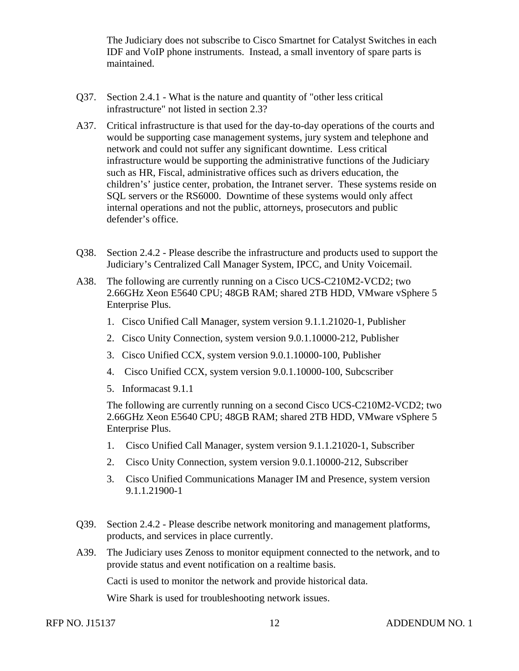The Judiciary does not subscribe to Cisco Smartnet for Catalyst Switches in each IDF and VoIP phone instruments. Instead, a small inventory of spare parts is maintained.

- Q37. Section 2.4.1 What is the nature and quantity of "other less critical infrastructure" not listed in section 2.3?
- A37. Critical infrastructure is that used for the day-to-day operations of the courts and would be supporting case management systems, jury system and telephone and network and could not suffer any significant downtime. Less critical infrastructure would be supporting the administrative functions of the Judiciary such as HR, Fiscal, administrative offices such as drivers education, the children's' justice center, probation, the Intranet server. These systems reside on SQL servers or the RS6000. Downtime of these systems would only affect internal operations and not the public, attorneys, prosecutors and public defender's office.
- Q38. Section 2.4.2 Please describe the infrastructure and products used to support the Judiciary's Centralized Call Manager System, IPCC, and Unity Voicemail.
- A38. The following are currently running on a Cisco UCS-C210M2-VCD2; two 2.66GHz Xeon E5640 CPU; 48GB RAM; shared 2TB HDD, VMware vSphere 5 Enterprise Plus.
	- 1. Cisco Unified Call Manager, system version 9.1.1.21020-1, Publisher
	- 2. Cisco Unity Connection, system version 9.0.1.10000-212, Publisher
	- 3. Cisco Unified CCX, system version 9.0.1.10000-100, Publisher
	- 4. Cisco Unified CCX, system version 9.0.1.10000-100, Subcscriber
	- 5. Informacast 9.1.1

The following are currently running on a second Cisco UCS-C210M2-VCD2; two 2.66GHz Xeon E5640 CPU; 48GB RAM; shared 2TB HDD, VMware vSphere 5 Enterprise Plus.

- 1. Cisco Unified Call Manager, system version 9.1.1.21020-1, Subscriber
- 2. Cisco Unity Connection, system version 9.0.1.10000-212, Subscriber
- 3. Cisco Unified Communications Manager IM and Presence, system version 9.1.1.21900-1
- Q39. Section 2.4.2 Please describe network monitoring and management platforms, products, and services in place currently.
- A39. The Judiciary uses Zenoss to monitor equipment connected to the network, and to provide status and event notification on a realtime basis.

Cacti is used to monitor the network and provide historical data.

Wire Shark is used for troubleshooting network issues.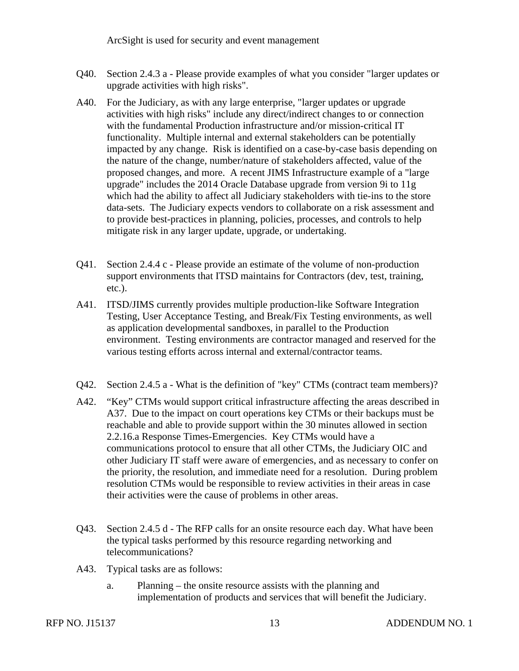ArcSight is used for security and event management

- Q40. Section 2.4.3 a Please provide examples of what you consider "larger updates or upgrade activities with high risks".
- A40. For the Judiciary, as with any large enterprise, "larger updates or upgrade activities with high risks" include any direct/indirect changes to or connection with the fundamental Production infrastructure and/or mission-critical IT functionality. Multiple internal and external stakeholders can be potentially impacted by any change. Risk is identified on a case-by-case basis depending on the nature of the change, number/nature of stakeholders affected, value of the proposed changes, and more. A recent JIMS Infrastructure example of a "large upgrade" includes the 2014 Oracle Database upgrade from version 9i to 11g which had the ability to affect all Judiciary stakeholders with tie-ins to the store data-sets. The Judiciary expects vendors to collaborate on a risk assessment and to provide best-practices in planning, policies, processes, and controls to help mitigate risk in any larger update, upgrade, or undertaking.
- Q41. Section 2.4.4 c Please provide an estimate of the volume of non-production support environments that ITSD maintains for Contractors (dev, test, training, etc.).
- A41. ITSD/JIMS currently provides multiple production-like Software Integration Testing, User Acceptance Testing, and Break/Fix Testing environments, as well as application developmental sandboxes, in parallel to the Production environment. Testing environments are contractor managed and reserved for the various testing efforts across internal and external/contractor teams.
- Q42. Section 2.4.5 a What is the definition of "key" CTMs (contract team members)?
- A42. "Key" CTMs would support critical infrastructure affecting the areas described in A37. Due to the impact on court operations key CTMs or their backups must be reachable and able to provide support within the 30 minutes allowed in section 2.2.16.a Response Times-Emergencies. Key CTMs would have a communications protocol to ensure that all other CTMs, the Judiciary OIC and other Judiciary IT staff were aware of emergencies, and as necessary to confer on the priority, the resolution, and immediate need for a resolution. During problem resolution CTMs would be responsible to review activities in their areas in case their activities were the cause of problems in other areas.
- Q43. Section 2.4.5 d The RFP calls for an onsite resource each day. What have been the typical tasks performed by this resource regarding networking and telecommunications?
- A43. Typical tasks are as follows:
	- a. Planning the onsite resource assists with the planning and implementation of products and services that will benefit the Judiciary.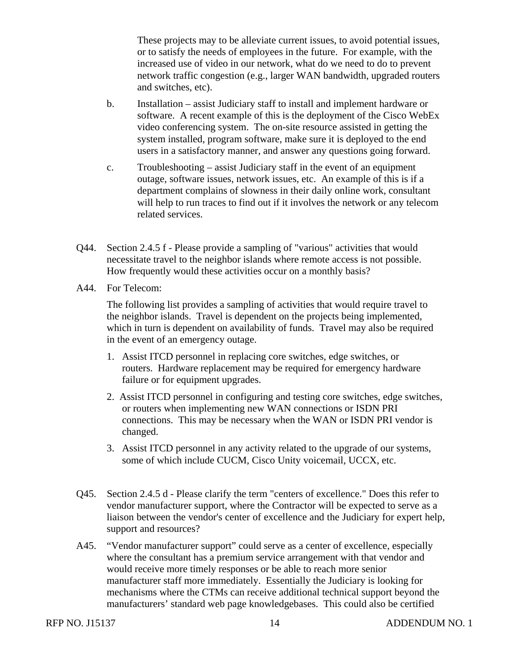These projects may to be alleviate current issues, to avoid potential issues, or to satisfy the needs of employees in the future. For example, with the increased use of video in our network, what do we need to do to prevent network traffic congestion (e.g., larger WAN bandwidth, upgraded routers and switches, etc).

- b. Installation assist Judiciary staff to install and implement hardware or software. A recent example of this is the deployment of the Cisco WebEx video conferencing system. The on-site resource assisted in getting the system installed, program software, make sure it is deployed to the end users in a satisfactory manner, and answer any questions going forward.
- c. Troubleshooting assist Judiciary staff in the event of an equipment outage, software issues, network issues, etc. An example of this is if a department complains of slowness in their daily online work, consultant will help to run traces to find out if it involves the network or any telecom related services.
- Q44. Section 2.4.5 f Please provide a sampling of "various" activities that would necessitate travel to the neighbor islands where remote access is not possible. How frequently would these activities occur on a monthly basis?
- A44. For Telecom:

The following list provides a sampling of activities that would require travel to the neighbor islands. Travel is dependent on the projects being implemented, which in turn is dependent on availability of funds. Travel may also be required in the event of an emergency outage.

- 1. Assist ITCD personnel in replacing core switches, edge switches, or routers. Hardware replacement may be required for emergency hardware failure or for equipment upgrades.
- 2. Assist ITCD personnel in configuring and testing core switches, edge switches, or routers when implementing new WAN connections or ISDN PRI connections. This may be necessary when the WAN or ISDN PRI vendor is changed.
- 3. Assist ITCD personnel in any activity related to the upgrade of our systems, some of which include CUCM, Cisco Unity voicemail, UCCX, etc.
- Q45. Section 2.4.5 d Please clarify the term "centers of excellence." Does this refer to vendor manufacturer support, where the Contractor will be expected to serve as a liaison between the vendor's center of excellence and the Judiciary for expert help, support and resources?
- A45. "Vendor manufacturer support" could serve as a center of excellence, especially where the consultant has a premium service arrangement with that vendor and would receive more timely responses or be able to reach more senior manufacturer staff more immediately. Essentially the Judiciary is looking for mechanisms where the CTMs can receive additional technical support beyond the manufacturers' standard web page knowledgebases. This could also be certified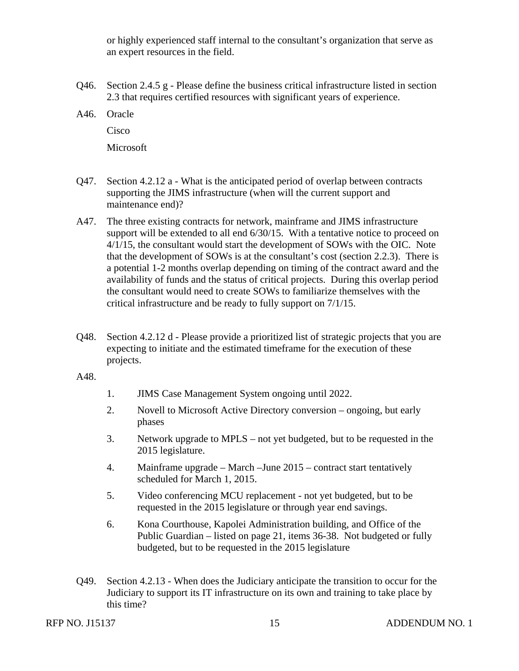or highly experienced staff internal to the consultant's organization that serve as an expert resources in the field.

Q46. Section 2.4.5 g - Please define the business critical infrastructure listed in section 2.3 that requires certified resources with significant years of experience.

A46. Oracle Cisco

Microsoft

- Q47. Section 4.2.12 a What is the anticipated period of overlap between contracts supporting the JIMS infrastructure (when will the current support and maintenance end)?
- A47. The three existing contracts for network, mainframe and JIMS infrastructure support will be extended to all end  $6/30/15$ . With a tentative notice to proceed on 4/1/15, the consultant would start the development of SOWs with the OIC. Note that the development of SOWs is at the consultant's cost (section 2.2.3). There is a potential 1-2 months overlap depending on timing of the contract award and the availability of funds and the status of critical projects. During this overlap period the consultant would need to create SOWs to familiarize themselves with the critical infrastructure and be ready to fully support on 7/1/15.
- Q48. Section 4.2.12 d Please provide a prioritized list of strategic projects that you are expecting to initiate and the estimated timeframe for the execution of these projects.

A48.

- 1. JIMS Case Management System ongoing until 2022.
- 2. Novell to Microsoft Active Directory conversion ongoing, but early phases
- 3. Network upgrade to MPLS not yet budgeted, but to be requested in the 2015 legislature.
- 4. Mainframe upgrade March –June 2015 contract start tentatively scheduled for March 1, 2015.
- 5. Video conferencing MCU replacement not yet budgeted, but to be requested in the 2015 legislature or through year end savings.
- 6. Kona Courthouse, Kapolei Administration building, and Office of the Public Guardian – listed on page 21, items 36-38. Not budgeted or fully budgeted, but to be requested in the 2015 legislature
- Q49. Section 4.2.13 When does the Judiciary anticipate the transition to occur for the Judiciary to support its IT infrastructure on its own and training to take place by this time?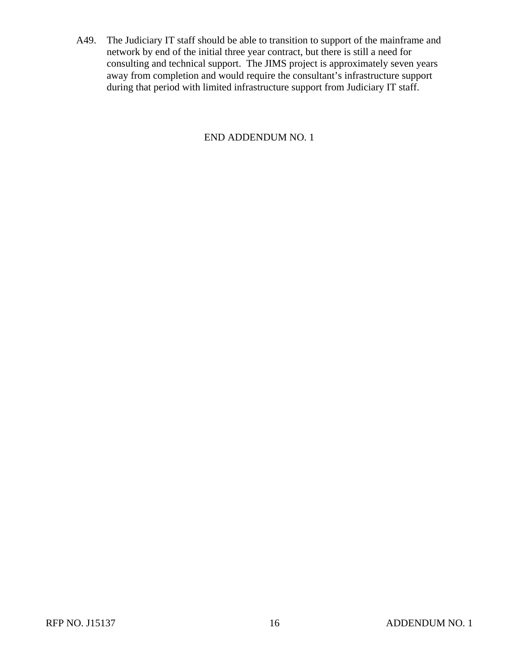A49. The Judiciary IT staff should be able to transition to support of the mainframe and network by end of the initial three year contract, but there is still a need for consulting and technical support. The JIMS project is approximately seven years away from completion and would require the consultant's infrastructure support during that period with limited infrastructure support from Judiciary IT staff.

# END ADDENDUM NO. 1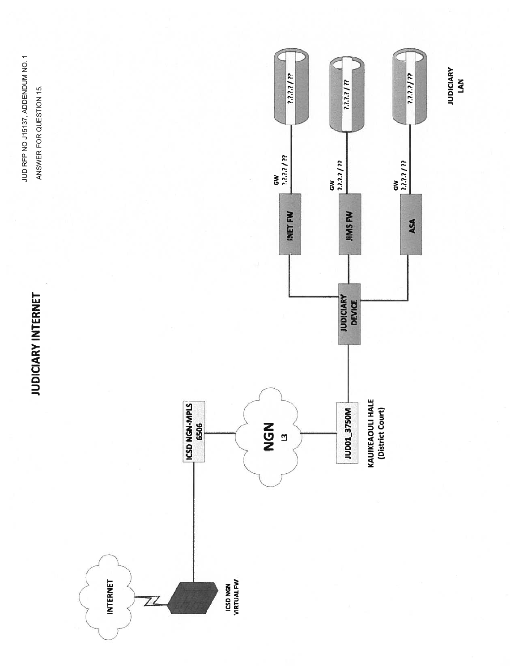**JUDICIARY INTERNET** 

JUD RFP NO J15137, ADDENDUM NO. 1 ANSWER FOR QUESTION 15.



**JUDICIARY**<br>LAN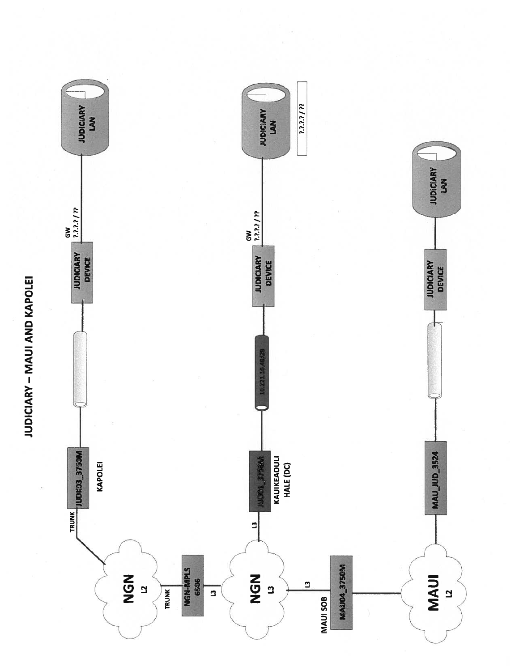

JUDICIARY – MAUI AND KAPOLEI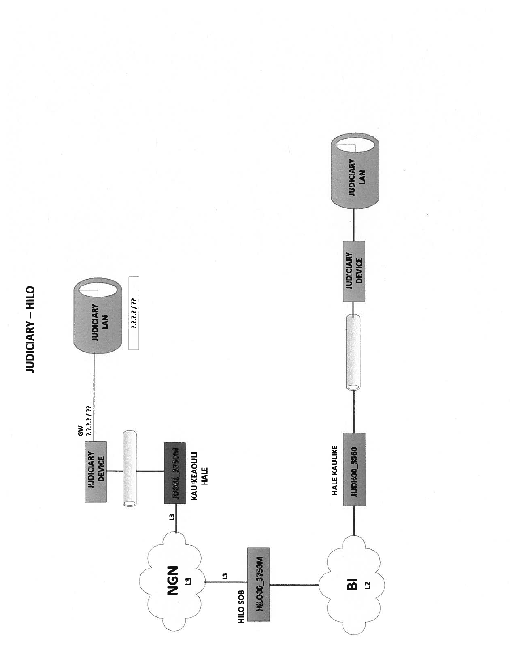JUDICIARY - HILO

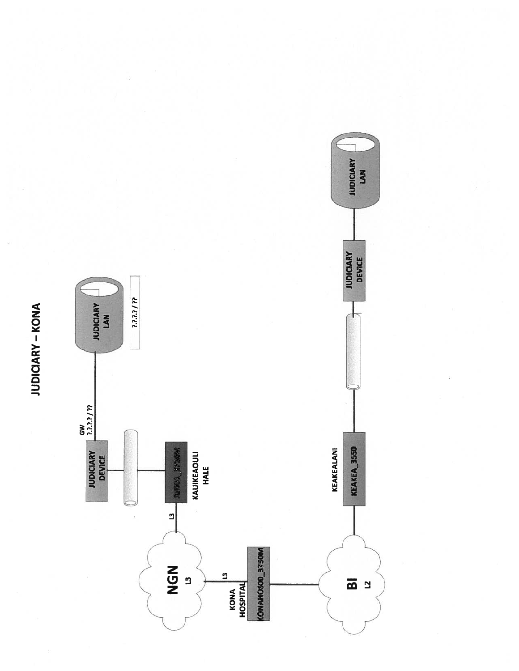